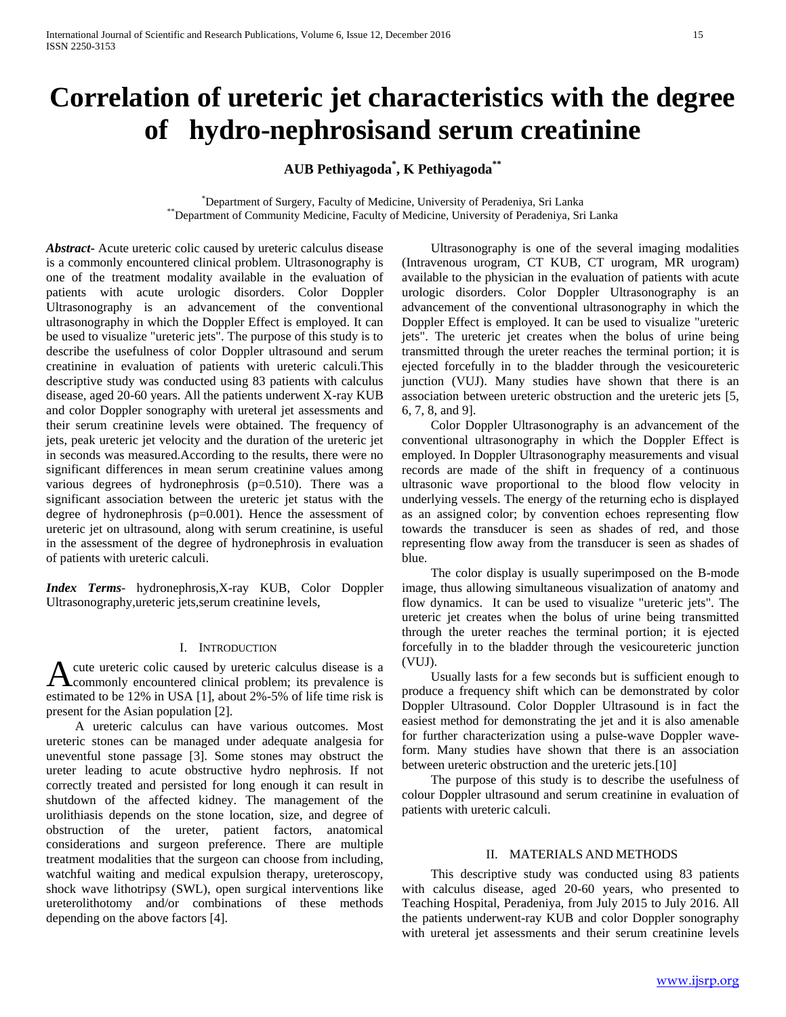# **Correlation of ureteric jet characteristics with the degree of hydro-nephrosisand serum creatinine**

**AUB Pethiyagoda\* , K Pethiyagoda\*\*** 

\*Department of Surgery, Faculty of Medicine, University of Peradeniya, Sri Lanka \*\*Department of Community Medicine, Faculty of Medicine, University of Peradeniya, Sri Lanka

*Abstract***-** Acute ureteric colic caused by ureteric calculus disease is a commonly encountered clinical problem. Ultrasonography is one of the treatment modality available in the evaluation of patients with acute urologic disorders. Color Doppler Ultrasonography is an advancement of the conventional ultrasonography in which the Doppler Effect is employed. It can be used to visualize "ureteric jets". The purpose of this study is to describe the usefulness of color Doppler ultrasound and serum creatinine in evaluation of patients with ureteric calculi.This descriptive study was conducted using 83 patients with calculus disease, aged 20-60 years. All the patients underwent X-ray KUB and color Doppler sonography with ureteral jet assessments and their serum creatinine levels were obtained. The frequency of jets, peak ureteric jet velocity and the duration of the ureteric jet in seconds was measured.According to the results, there were no significant differences in mean serum creatinine values among various degrees of hydronephrosis  $(p=0.510)$ . There was a significant association between the ureteric jet status with the degree of hydronephrosis (p=0.001). Hence the assessment of ureteric jet on ultrasound, along with serum creatinine, is useful in the assessment of the degree of hydronephrosis in evaluation of patients with ureteric calculi.

*Index Terms*- hydronephrosis,X-ray KUB, Color Doppler Ultrasonography,ureteric jets,serum creatinine levels,

# I. INTRODUCTION

cute ureteric colic caused by ureteric calculus disease is a A cute ureteric colic caused by ureteric calculus disease is a commonly encountered clinical problem; its prevalence is estimated to be 12% in USA [1], about 2%-5% of life time risk is present for the Asian population [2].

 A ureteric calculus can have various outcomes. Most ureteric stones can be managed under adequate analgesia for uneventful stone passage [3]. Some stones may obstruct the ureter leading to acute obstructive hydro nephrosis. If not correctly treated and persisted for long enough it can result in shutdown of the affected kidney. The management of the urolithiasis depends on the stone location, size, and degree of obstruction of the ureter, patient factors, anatomical considerations and surgeon preference. There are multiple treatment modalities that the surgeon can choose from including, watchful waiting and medical expulsion therapy, ureteroscopy, shock wave lithotripsy (SWL), open surgical interventions like ureterolithotomy and/or combinations of these methods depending on the above factors [4].

 Ultrasonography is one of the several imaging modalities (Intravenous urogram, CT KUB, CT urogram, MR urogram) available to the physician in the evaluation of patients with acute urologic disorders. Color Doppler Ultrasonography is an advancement of the conventional ultrasonography in which the Doppler Effect is employed. It can be used to visualize "ureteric jets". The ureteric jet creates when the bolus of urine being transmitted through the ureter reaches the terminal portion; it is ejected forcefully in to the bladder through the vesicoureteric junction (VUJ). Many studies have shown that there is an association between ureteric obstruction and the ureteric jets [5, 6, 7, 8, and 9].

 Color Doppler Ultrasonography is an advancement of the conventional ultrasonography in which the Doppler Effect is employed. In Doppler Ultrasonography measurements and visual records are made of the shift in frequency of a continuous ultrasonic wave proportional to the blood flow velocity in underlying vessels. The energy of the returning echo is displayed as an assigned color; by convention echoes representing flow towards the transducer is seen as shades of red, and those representing flow away from the transducer is seen as shades of blue.

 The color display is usually superimposed on the B-mode image, thus allowing simultaneous visualization of anatomy and flow dynamics. It can be used to visualize "ureteric jets". The ureteric jet creates when the bolus of urine being transmitted through the ureter reaches the terminal portion; it is ejected forcefully in to the bladder through the vesicoureteric junction (VUJ).

 Usually lasts for a few seconds but is sufficient enough to produce a frequency shift which can be demonstrated by color Doppler Ultrasound. Color Doppler Ultrasound is in fact the easiest method for demonstrating the jet and it is also amenable for further characterization using a pulse-wave Doppler waveform. Many studies have shown that there is an association between ureteric obstruction and the ureteric jets.[10]

 The purpose of this study is to describe the usefulness of colour Doppler ultrasound and serum creatinine in evaluation of patients with ureteric calculi.

### II. MATERIALS AND METHODS

 This descriptive study was conducted using 83 patients with calculus disease, aged 20-60 years, who presented to Teaching Hospital, Peradeniya, from July 2015 to July 2016. All the patients underwent-ray KUB and color Doppler sonography with ureteral jet assessments and their serum creatinine levels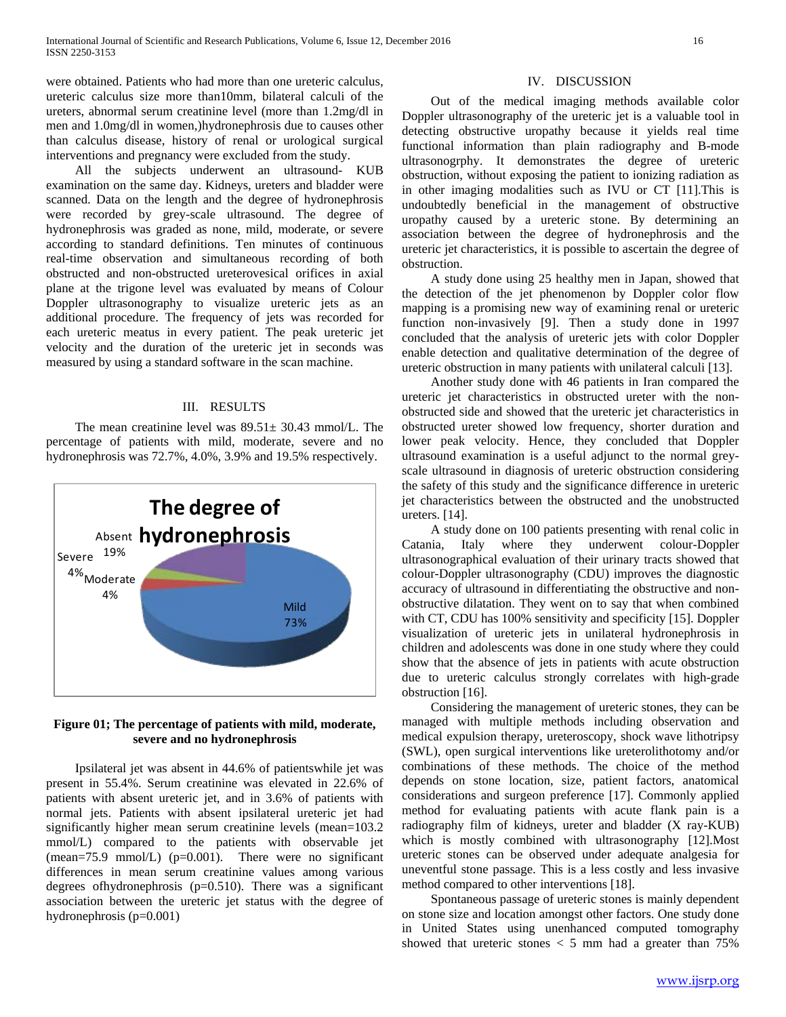were obtained. Patients who had more than one ureteric calculus, ureteric calculus size more than10mm, bilateral calculi of the ureters, abnormal serum creatinine level (more than 1.2mg/dl in men and 1.0mg/dl in women,)hydronephrosis due to causes other than calculus disease, history of renal or urological surgical interventions and pregnancy were excluded from the study.

 All the subjects underwent an ultrasound- KUB examination on the same day. Kidneys, ureters and bladder were scanned. Data on the length and the degree of hydronephrosis were recorded by grey-scale ultrasound. The degree of hydronephrosis was graded as none, mild, moderate, or severe according to standard definitions. Ten minutes of continuous real-time observation and simultaneous recording of both obstructed and non-obstructed ureterovesical orifices in axial plane at the trigone level was evaluated by means of Colour Doppler ultrasonography to visualize ureteric jets as an additional procedure. The frequency of jets was recorded for each ureteric meatus in every patient. The peak ureteric jet velocity and the duration of the ureteric jet in seconds was measured by using a standard software in the scan machine.

# III. RESULTS

 The mean creatinine level was 89.51± 30.43 mmol/L. The percentage of patients with mild, moderate, severe and no hydronephrosis was 72.7%, 4.0%, 3.9% and 19.5% respectively.



# **Figure 01; The percentage of patients with mild, moderate, severe and no hydronephrosis**

 Ipsilateral jet was absent in 44.6% of patientswhile jet was present in 55.4%. Serum creatinine was elevated in 22.6% of patients with absent ureteric jet, and in 3.6% of patients with normal jets. Patients with absent ipsilateral ureteric jet had significantly higher mean serum creatinine levels (mean=103.2) mmol/L) compared to the patients with observable jet  $(mean=75.9 \text{ mmol/L})$  ( $p=0.001$ ). There were no significant differences in mean serum creatinine values among various degrees ofhydronephrosis (p=0.510). There was a significant association between the ureteric jet status with the degree of hydronephrosis (p=0.001)

# IV. DISCUSSION

 Out of the medical imaging methods available color Doppler ultrasonography of the ureteric jet is a valuable tool in detecting obstructive uropathy because it yields real time functional information than plain radiography and B-mode ultrasonogrphy. It demonstrates the degree of ureteric obstruction, without exposing the patient to ionizing radiation as in other imaging modalities such as IVU or CT [11].This is undoubtedly beneficial in the management of obstructive uropathy caused by a ureteric stone. By determining an association between the degree of hydronephrosis and the ureteric jet characteristics, it is possible to ascertain the degree of obstruction.

 A study done using 25 healthy men in Japan, showed that the detection of the jet phenomenon by Doppler color flow mapping is a promising new way of examining renal or ureteric function non-invasively [9]. Then a study done in 1997 concluded that the analysis of ureteric jets with color Doppler enable detection and qualitative determination of the degree of ureteric obstruction in many patients with unilateral calculi [13].

 Another study done with 46 patients in Iran compared the ureteric jet characteristics in obstructed ureter with the nonobstructed side and showed that the ureteric jet characteristics in obstructed ureter showed low frequency, shorter duration and lower peak velocity. Hence, they concluded that Doppler ultrasound examination is a useful adjunct to the normal greyscale ultrasound in diagnosis of ureteric obstruction considering the safety of this study and the significance difference in ureteric jet characteristics between the obstructed and the unobstructed ureters. [14].

 A study done on 100 patients presenting with renal colic in Catania, Italy where they underwent colour-Doppler ultrasonographical evaluation of their urinary tracts showed that colour-Doppler ultrasonography (CDU) improves the diagnostic accuracy of ultrasound in differentiating the obstructive and nonobstructive dilatation. They went on to say that when combined with CT, CDU has 100% sensitivity and specificity [15]. Doppler visualization of ureteric jets in unilateral hydronephrosis in children and adolescents was done in one study where they could show that the absence of jets in patients with acute obstruction due to ureteric calculus strongly correlates with high-grade obstruction [16].

 Considering the management of ureteric stones, they can be managed with multiple methods including observation and medical expulsion therapy, ureteroscopy, shock wave lithotripsy (SWL), open surgical interventions like ureterolithotomy and/or combinations of these methods. The choice of the method depends on stone location, size, patient factors, anatomical considerations and surgeon preference [17]. Commonly applied method for evaluating patients with acute flank pain is a radiography film of kidneys, ureter and bladder (X ray-KUB) which is mostly combined with ultrasonography [12].Most ureteric stones can be observed under adequate analgesia for uneventful stone passage. This is a less costly and less invasive method compared to other interventions [18].

 Spontaneous passage of ureteric stones is mainly dependent on stone size and location amongst other factors. One study done in United States using unenhanced computed tomography showed that ureteric stones  $<$  5 mm had a greater than 75%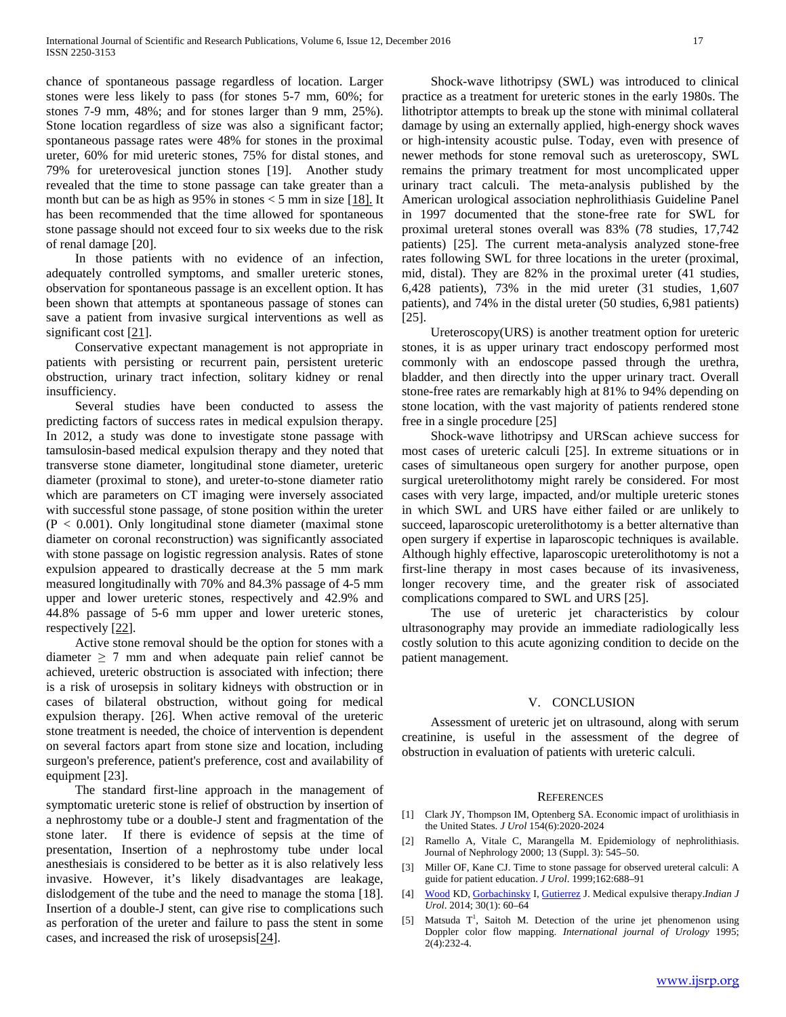chance of spontaneous passage regardless of location. Larger stones were less likely to pass (for stones 5-7 mm, 60%; for stones 7-9 mm, 48%; and for stones larger than 9 mm, 25%). Stone location regardless of size was also a significant factor; spontaneous passage rates were 48% for stones in the proximal ureter, 60% for mid ureteric stones, 75% for distal stones, and 79% for ureterovesical junction stones [19]. Another study revealed that the time to stone passage can take greater than a month but can be as high as  $95\%$  in stones  $\lt 5$  mm in size [18]. It has been recommended that the time allowed for spontaneous stone passage should not exceed four to six weeks due to the risk of renal damage [20].

 In those patients with no evidence of an infection, adequately controlled symptoms, and smaller ureteric stones, observation for spontaneous passage is an excellent option. It has been shown that attempts at spontaneous passage of stones can save a patient from invasive surgical interventions as well as significant cost [21].

 Conservative expectant management is not appropriate in patients with persisting or recurrent pain, persistent ureteric obstruction, urinary tract infection, solitary kidney or renal insufficiency.

 Several studies have been conducted to assess the predicting factors of success rates in medical expulsion therapy. In 2012, a study was done to investigate stone passage with tamsulosin-based medical expulsion therapy and they noted that transverse stone diameter, longitudinal stone diameter, ureteric diameter (proximal to stone), and ureter-to-stone diameter ratio which are parameters on CT imaging were inversely associated with successful stone passage, of stone position within the ureter  $(P < 0.001)$ . Only longitudinal stone diameter (maximal stone diameter on coronal reconstruction) was significantly associated with stone passage on logistic regression analysis. Rates of stone expulsion appeared to drastically decrease at the 5 mm mark measured longitudinally with 70% and 84.3% passage of 4-5 mm upper and lower ureteric stones, respectively and 42.9% and 44.8% passage of 5-6 mm upper and lower ureteric stones, respectively [22].

 Active stone removal should be the option for stones with a diameter  $\geq$  7 mm and when adequate pain relief cannot be achieved, ureteric obstruction is associated with infection; there is a risk of urosepsis in solitary kidneys with obstruction or in cases of bilateral obstruction, without going for medical expulsion therapy. [26]. When active removal of the ureteric stone treatment is needed, the choice of intervention is dependent on several factors apart from stone size and location, including surgeon's preference, patient's preference, cost and availability of equipment [23].

 The standard first-line approach in the management of symptomatic ureteric stone is relief of obstruction by insertion of a nephrostomy tube or a double-J stent and fragmentation of the stone later. If there is evidence of sepsis at the time of presentation, Insertion of a nephrostomy tube under local anesthesiais is considered to be better as it is also relatively less invasive. However, it's likely disadvantages are leakage, dislodgement of the tube and the need to manage the stoma [18]. Insertion of a double-J stent, can give rise to complications such as perforation of the ureter and failure to pass the stent in some cases, and increased the risk of urosepsis[24].

 Shock-wave lithotripsy (SWL) was introduced to clinical practice as a treatment for ureteric stones in the early 1980s. The lithotriptor attempts to break up the stone with minimal collateral damage by using an externally applied, high-energy shock waves or high-intensity acoustic pulse. Today, even with presence of newer methods for stone removal such as ureteroscopy, SWL remains the primary treatment for most uncomplicated upper urinary tract calculi. The meta-analysis published by the American urological association nephrolithiasis Guideline Panel in 1997 documented that the stone-free rate for SWL for proximal ureteral stones overall was 83% (78 studies, 17,742 patients) [25]. The current meta-analysis analyzed stone-free rates following SWL for three locations in the ureter (proximal, mid, distal). They are 82% in the proximal ureter (41 studies, 6,428 patients), 73% in the mid ureter (31 studies, 1,607 patients), and 74% in the distal ureter (50 studies, 6,981 patients) [25].

 Ureteroscopy(URS) is another treatment option for ureteric stones, it is as upper urinary tract endoscopy performed most commonly with an endoscope passed through the urethra, bladder, and then directly into the upper urinary tract. Overall stone-free rates are remarkably high at 81% to 94% depending on stone location, with the vast majority of patients rendered stone free in a single procedure [25]

 Shock-wave lithotripsy and URScan achieve success for most cases of ureteric calculi [25]. In extreme situations or in cases of simultaneous open surgery for another purpose, open surgical ureterolithotomy might rarely be considered. For most cases with very large, impacted, and/or multiple ureteric stones in which SWL and URS have either failed or are unlikely to succeed, laparoscopic ureterolithotomy is a better alternative than open surgery if expertise in laparoscopic techniques is available. Although highly effective, laparoscopic ureterolithotomy is not a first-line therapy in most cases because of its invasiveness, longer recovery time, and the greater risk of associated complications compared to SWL and URS [25].

 The use of ureteric jet characteristics by colour ultrasonography may provide an immediate radiologically less costly solution to this acute agonizing condition to decide on the patient management.

## V. CONCLUSION

 Assessment of ureteric jet on ultrasound, along with serum creatinine, is useful in the assessment of the degree of obstruction in evaluation of patients with ureteric calculi.

#### **REFERENCES**

- [1] Clark JY, Thompson IM, Optenberg SA. Economic impact of urolithiasis in the United States. *J Urol* 154(6):2020-2024
- [2] Ramello A, Vitale C, Marangella M. Epidemiology of nephrolithiasis. Journal of Nephrology 2000; 13 (Suppl. 3): 545–50.
- [3] Miller OF, Kane CJ. Time to stone passage for observed ureteral calculi: A guide for patient education. *J Urol*. 1999;162:688–91
- [4] [Wood](http://www.ncbi.nlm.nih.gov/pubmed/?term=Wood%20KD%5Bauth%5D) KD, [Gorbachinsky](http://www.ncbi.nlm.nih.gov/pubmed/?term=Gorbachinsky%20I%5Bauth%5D) I, [Gutierrez](http://www.ncbi.nlm.nih.gov/pubmed/?term=Gutierrez%20J%5Bauth%5D) J. Medical expulsive therapy.*Indian J Urol*. 2014; 30(1): 60–64
- [5] Matsuda T<sup>1</sup>, Saitoh M. Detection of the urine jet phenomenon using Doppler color flow mapping. *International journal of Urology* 1995; 2(4):232-4.